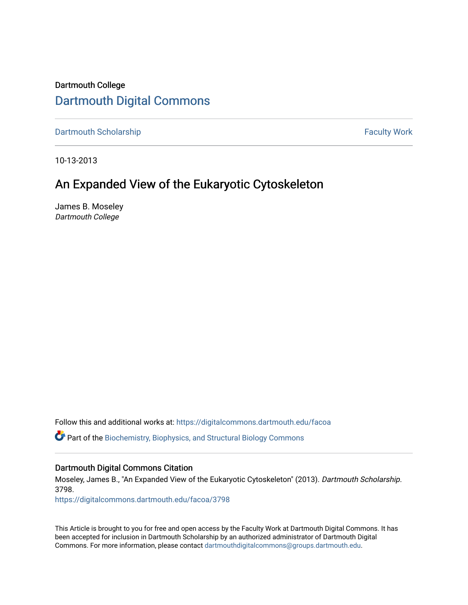# Dartmouth College [Dartmouth Digital Commons](https://digitalcommons.dartmouth.edu/)

[Dartmouth Scholarship](https://digitalcommons.dartmouth.edu/facoa) Faculty Work

10-13-2013

# An Expanded View of the Eukaryotic Cytoskeleton

James B. Moseley Dartmouth College

Follow this and additional works at: [https://digitalcommons.dartmouth.edu/facoa](https://digitalcommons.dartmouth.edu/facoa?utm_source=digitalcommons.dartmouth.edu%2Ffacoa%2F3798&utm_medium=PDF&utm_campaign=PDFCoverPages)

**P** Part of the [Biochemistry, Biophysics, and Structural Biology Commons](http://network.bepress.com/hgg/discipline/1?utm_source=digitalcommons.dartmouth.edu%2Ffacoa%2F3798&utm_medium=PDF&utm_campaign=PDFCoverPages)

## Dartmouth Digital Commons Citation

Moseley, James B., "An Expanded View of the Eukaryotic Cytoskeleton" (2013). Dartmouth Scholarship. 3798.

[https://digitalcommons.dartmouth.edu/facoa/3798](https://digitalcommons.dartmouth.edu/facoa/3798?utm_source=digitalcommons.dartmouth.edu%2Ffacoa%2F3798&utm_medium=PDF&utm_campaign=PDFCoverPages) 

This Article is brought to you for free and open access by the Faculty Work at Dartmouth Digital Commons. It has been accepted for inclusion in Dartmouth Scholarship by an authorized administrator of Dartmouth Digital Commons. For more information, please contact [dartmouthdigitalcommons@groups.dartmouth.edu](mailto:dartmouthdigitalcommons@groups.dartmouth.edu).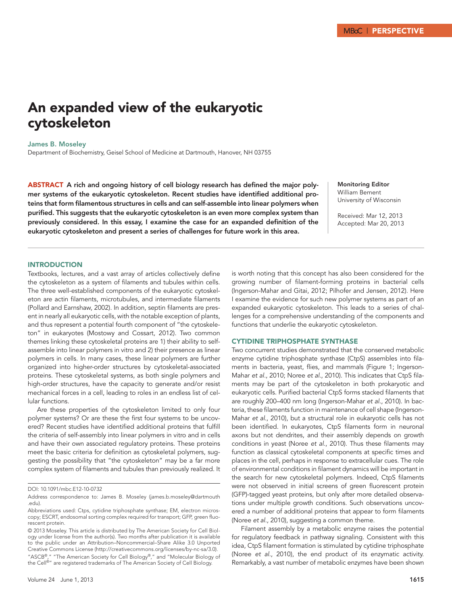# An expanded view of the eukaryotic cytoskeleton

James B. Moseley

Department of Biochemistry, Geisel School of Medicine at Dartmouth, Hanover, NH 03755

ABSTRACT A rich and ongoing history of cell biology research has defined the major polymer systems of the eukaryotic cytoskeleton. Recent studies have identified additional proteins that form filamentous structures in cells and can self-assemble into linear polymers when purified. This suggests that the eukaryotic cytoskeleton is an even more complex system than previously considered. In this essay, I examine the case for an expanded definition of the eukaryotic cytoskeleton and present a series of challenges for future work in this area.

Monitoring Editor William Bement University of Wisconsin

Received: Mar 12, 2013 Accepted: Mar 20, 2013

#### **INTRODUCTION**

Textbooks, lectures, and a vast array of articles collectively define the cytoskeleton as a system of filaments and tubules within cells. The three well-established components of the eukaryotic cytoskeleton are actin filaments, microtubules, and intermediate filaments (Pollard and Earnshaw, 2002). In addition, septin filaments are present in nearly all eukaryotic cells, with the notable exception of plants, and thus represent a potential fourth component of "the cytoskeleton" in eukaryotes (Mostowy and Cossart, 2012). Two common themes linking these cytoskeletal proteins are 1) their ability to selfassemble into linear polymers in vitro and 2) their presence as linear polymers in cells. In many cases, these linear polymers are further organized into higher-order structures by cytoskeletal-associated proteins. These cytoskeletal systems, as both single polymers and high-order structures, have the capacity to generate and/or resist mechanical forces in a cell, leading to roles in an endless list of cellular functions.

Are these properties of the cytoskeleton limited to only four polymer systems? Or are these the first four systems to be uncovered? Recent studies have identified additional proteins that fulfill the criteria of self-assembly into linear polymers in vitro and in cells and have their own associated regulatory proteins. These proteins meet the basic criteria for definition as cytoskeletal polymers, suggesting the possibility that "the cytoskeleton" may be a far more complex system of filaments and tubules than previously realized. It is worth noting that this concept has also been considered for the growing number of filament-forming proteins in bacterial cells (Ingerson-Mahar and Gitai, 2012; Pilhofer and Jensen, 2012). Here I examine the evidence for such new polymer systems as part of an expanded eukaryotic cytoskeleton. This leads to a series of challenges for a comprehensive understanding of the components and functions that underlie the eukaryotic cytoskeleton.

## Cytidine triphosphate synthase

Two concurrent studies demonstrated that the conserved metabolic enzyme cytidine triphosphate synthase (CtpS) assembles into filaments in bacteria, yeast, flies, and mammals (Figure 1; Ingerson-Mahar *et al.*, 2010; Noree *et al.*, 2010). This indicates that CtpS filaments may be part of the cytoskeleton in both prokaryotic and eukaryotic cells. Purified bacterial CtpS forms stacked filaments that are roughly 200–400 nm long (Ingerson-Mahar *et al.*, 2010). In bacteria, these filaments function in maintenance of cell shape (Ingerson-Mahar *et al.*, 2010), but a structural role in eukaryotic cells has not been identified. In eukaryotes, CtpS filaments form in neuronal axons but not dendrites, and their assembly depends on growth conditions in yeast (Noree *et al.*, 2010). Thus these filaments may function as classical cytoskeletal components at specific times and places in the cell, perhaps in response to extracellular cues. The role of environmental conditions in filament dynamics will be important in the search for new cytoskeletal polymers. Indeed, CtpS filaments were not observed in initial screens of green fluorescent protein (GFP)-tagged yeast proteins, but only after more detailed observations under multiple growth conditions. Such observations uncovered a number of additional proteins that appear to form filaments (Noree *et al.*, 2010), suggesting a common theme.

Filament assembly by a metabolic enzyme raises the potential for regulatory feedback in pathway signaling. Consistent with this idea, CtpS filament formation is stimulated by cytidine triphosphate (Noree *et al.*, 2010), the end product of its enzymatic activity. Remarkably, a vast number of metabolic enzymes have been shown

DOI: 10.1091/mbc.E12-10-0732

Address correspondence to: James B. Moseley (james.b.moseley@dartmouth .edu).

Abbreviations used: Ctps, cytidine triphosphate synthase; EM, electron microscopy; ESCRT, endosomal sorting complex required for transport; GFP, green fluorescent protein.

<sup>© 2013</sup> Moseley. This article is distributed by The American Society for Cell Biology under license from the author(s). Two months after publication it is available to the public under an Attribution–Noncommercial–Share Alike 3.0 Unported Creative Commons License (http://creativecommons.org/licenses/by-nc-sa/3.0). "ASCB®," "The American Society for Cell Biology®," and "Molecular Biology of the Cell®" are registered trademarks of The American Society of Cell Biology.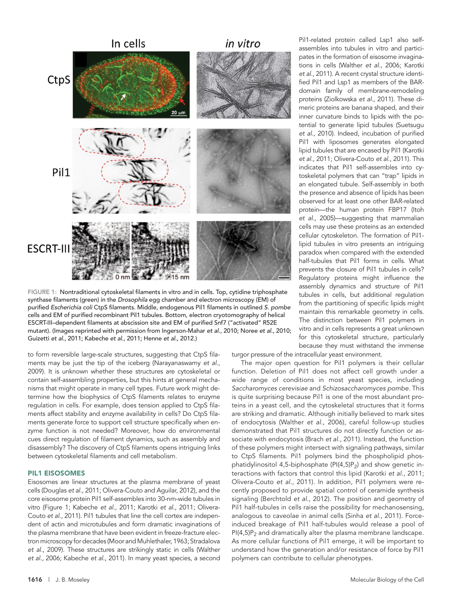

FIGURE 1: Nontraditional cytoskeletal filaments in vitro and in cells. Top, cytidine triphosphate synthase filaments (green) in the *Drosophila* egg chamber and electron microscopy (EM) of purified *Escherichia coli* CtpS filaments. Middle, endogenous Pil1 filaments in outlined *S. pombe* cells and EM of purified recombinant Pil1 tubules. Bottom, electron cryotomography of helical ESCRT-III–dependent filaments at abscission site and EM of purified Snf7 ("activated" R52E mutant). (Images reprinted with permission from Ingerson-Mahar *et al.*, 2010; Noree *et al.*, 2010; Guizetti *et al.*, 2011; Kabeche *et al.*, 2011; Henne *et al.*, 2012.)

to form reversible large-scale structures, suggesting that CtpS filaments may be just the tip of the iceberg (Narayanaswamy *et al.*, 2009). It is unknown whether these structures are cytoskeletal or contain self-assembling properties, but this hints at general mechanisms that might operate in many cell types. Future work might determine how the biophysics of CtpS filaments relates to enzyme regulation in cells. For example, does tension applied to CtpS filaments affect stability and enzyme availability in cells? Do CtpS filaments generate force to support cell structure specifically when enzyme function is not needed? Moreover, how do environmental cues direct regulation of filament dynamics, such as assembly and disassembly? The discovery of CtpS filaments opens intriguing links between cytoskeletal filaments and cell metabolism.

#### Pil1 eisosomes

Eisosomes are linear structures at the plasma membrane of yeast cells (Douglas *et al.*, 2011; Olivera-Couto and Aguilar, 2012), and the core eisosome protein Pil1 self-assembles into 30-nm-wide tubules in vitro (Figure 1; Kabeche *et al.*, 2011; Karotki *et al.*, 2011; Olivera-Couto *et al.*, 2011). Pil1 tubules that line the cell cortex are independent of actin and microtubules and form dramatic invaginations of the plasma membrane that have been evident in freeze-fracture electron microscopy for decades (Moor and Muhlethaler, 1963; Stradalova *et al.*, 2009). These structures are strikingly static in cells (Walther *et al.*, 2006; Kabeche *et al.*, 2011). In many yeast species, a second

Pil1-related protein called Lsp1 also selfassembles into tubules in vitro and participates in the formation of eisosome invaginations in cells (Walther *et al.*, 2006; Karotki *et al.*, 2011). A recent crystal structure identified Pil1 and Lsp1 as members of the BARdomain family of membrane-remodeling proteins (Ziolkowska *et al.*, 2011). These dimeric proteins are banana shaped, and their inner curvature binds to lipids with the potential to generate lipid tubules (Suetsugu *et al.*, 2010). Indeed, incubation of purified Pil1 with liposomes generates elongated lipid tubules that are encased by Pil1 (Karotki *et al.*, 2011; Olivera-Couto *et al.*, 2011). This indicates that Pil1 self-assembles into cytoskeletal polymers that can "trap" lipids in an elongated tubule. Self-assembly in both the presence and absence of lipids has been observed for at least one other BAR-related protein—the human protein FBP17 (Itoh *et al.*, 2005)—suggesting that mammalian cells may use these proteins as an extended cellular cytoskeleton. The formation of Pil1 lipid tubules in vitro presents an intriguing paradox when compared with the extended half-tubules that Pil1 forms in cells. What prevents the closure of Pil1 tubules in cells? Regulatory proteins might influence the assembly dynamics and structure of Pil1 tubules in cells, but additional regulation from the partitioning of specific lipids might maintain this remarkable geometry in cells. The distinction between Pil1 polymers in vitro and in cells represents a great unknown for this cytoskeletal structure, particularly because they must withstand the immense

turgor pressure of the intracellular yeast environment.

The major open question for Pil1 polymers is their cellular function. Deletion of Pil1 does not affect cell growth under a wide range of conditions in most yeast species, including *Saccharomyces cerevisiae* and *Schizosaccharomyces pombe*. This is quite surprising because Pil1 is one of the most abundant proteins in a yeast cell, and the cytoskeletal structures that it forms are striking and dramatic. Although initially believed to mark sites of endocytosis (Walther *et al.*, 2006), careful follow-up studies demonstrated that Pil1 structures do not directly function or associate with endocytosis (Brach *et al.*, 2011). Instead, the function of these polymers might intersect with signaling pathways, similar to CtpS filaments. Pil1 polymers bind the phospholipid phosphatidylinositol 4,5-biphosphate ( $PI(4,5)P_2$ ) and show genetic interactions with factors that control this lipid (Karotki *et al.*, 2011; Olivera-Couto *et al.*, 2011). In addition, Pil1 polymers were recently proposed to provide spatial control of ceramide synthesis signaling (Berchtold *et al.*, 2012). The position and geometry of Pil1 half-tubules in cells raise the possibility for mechanosensing, analogous to caveolae in animal cells (Sinha *et al.*, 2011). Forceinduced breakage of Pil1 half-tubules would release a pool of  $PI(4,5)P_2$  and dramatically alter the plasma membrane landscape. As more cellular functions of Pil1 emerge, it will be important to understand how the generation and/or resistance of force by Pil1 polymers can contribute to cellular phenotypes.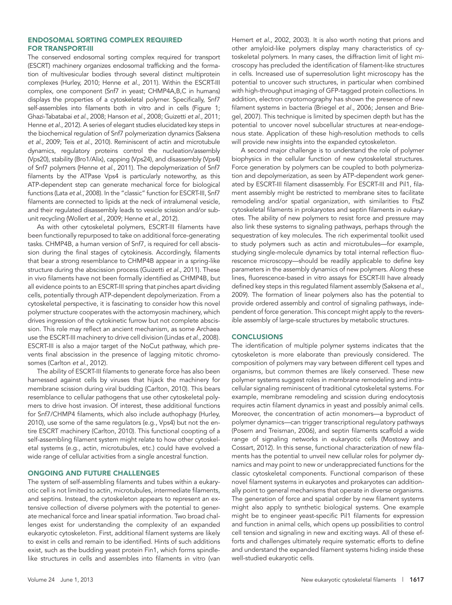### Endosomal sorting complex required for transport-III

The conserved endosomal sorting complex required for transport (ESCRT) machinery organizes endosomal trafficking and the formation of multivesicular bodies through several distinct multiprotein complexes (Hurley, 2010; Henne *et al.*, 2011). Within the ESCRT-III complex, one component (Snf7 in yeast; CHMP4A,B,C in humans) displays the properties of a cytoskeletal polymer. Specifically, Snf7 self-assembles into filaments both in vitro and in cells (Figure 1; Ghazi-Tabatabai *et al.*, 2008; Hanson *et al.*, 2008; Guizetti *et al.*, 2011; Henne *et al.*, 2012). A series of elegant studies elucidated key steps in the biochemical regulation of Snf7 polymerization dynamics (Saksena *et al.*, 2009; Teis *et al.*, 2010). Reminiscent of actin and microtubule dynamics, regulatory proteins control the nucleation/assembly (Vps20), stability (Bro1/Alix), capping (Vps24), and disassembly (Vps4) of Snf7 polymers (Henne *et al.*, 2011). The depolymerization of Snf7 filaments by the ATPase Vps4 is particularly noteworthy, as this ATP-dependent step can generate mechanical force for biological functions (Lata *et al.*, 2008). In the "classic" function for ESCRT-III, Snf7 filaments are connected to lipids at the neck of intralumenal vesicle, and their regulated disassembly leads to vesicle scission and/or subunit recycling (Wollert *et al.*, 2009; Henne *et al.*, 2012).

As with other cytoskeletal polymers, ESCRT-III filaments have been functionally repurposed to take on additional force-generating tasks. CHMP4B, a human version of Snf7, is required for cell abscission during the final stages of cytokinesis. Accordingly, filaments that bear a strong resemblance to CHMP4B appear in a spring-like structure during the abscission process (Guizetti *et al.*, 2011). These in vivo filaments have not been formally identified as CHMP4B, but all evidence points to an ESCRT-III spring that pinches apart dividing cells, potentially through ATP-dependent depolymerization. From a cytoskeletal perspective, it is fascinating to consider how this novel polymer structure cooperates with the actomyosin machinery, which drives ingression of the cytokinetic furrow but not complete abscission. This role may reflect an ancient mechanism, as some Archaea use the ESCRT-III machinery to drive cell division (Lindas *et al.*, 2008). ESCRT-III is also a major target of the NoCut pathway, which prevents final abscission in the presence of lagging mitotic chromosomes (Carlton *et al.*, 2012).

The ability of ESCRT-III filaments to generate force has also been harnessed against cells by viruses that hijack the machinery for membrane scission during viral budding (Carlton, 2010). This bears resemblance to cellular pathogens that use other cytoskeletal polymers to drive host invasion. Of interest, these additional functions for Snf7/CHMP4 filaments, which also include authophagy (Hurley, 2010), use some of the same regulators (e.g., Vps4) but not the entire ESCRT machinery (Carlton, 2010). This functional coopting of a self-assembling filament system might relate to how other cytoskeletal systems (e.g., actin, microtubules, etc.) could have evolved a wide range of cellular activities from a single ancestral function.

#### Ongoing and future challenges

The system of self-assembling filaments and tubes within a eukaryotic cell is not limited to actin, microtubules, intermediate filaments, and septins. Instead, the cytoskeleton appears to represent an extensive collection of diverse polymers with the potential to generate mechanical force and linear spatial information. Two broad challenges exist for understanding the complexity of an expanded eukaryotic cytoskeleton. First, additional filament systems are likely to exist in cells and remain to be identified. Hints of such additions exist, such as the budding yeast protein Fin1, which forms spindlelike structures in cells and assembles into filaments in vitro (van

Hemert *et al.*, 2002, 2003). It is also worth noting that prions and other amyloid-like polymers display many characteristics of cytoskeletal polymers. In many cases, the diffraction limit of light microscopy has precluded the identification of filament-like structures in cells. Increased use of superresolution light microscopy has the potential to uncover such structures, in particular when combined with high-throughput imaging of GFP-tagged protein collections. In addition, electron cryotomography has shown the presence of new filament systems in bacteria (Briegel *et al.*, 2006; Jensen and Briegel, 2007). This technique is limited by specimen depth but has the potential to uncover novel subcellular structures at near-endogenous state. Application of these high-resolution methods to cells will provide new insights into the expanded cytoskeleton.

A second major challenge is to understand the role of polymer biophysics in the cellular function of new cytoskeletal structures. Force generation by polymers can be coupled to both polymerization and depolymerization, as seen by ATP-dependent work generated by ESCRT-III filament disassembly. For ESCRT-III and Pil1, filament assembly might be restricted to membrane sites to facilitate remodeling and/or spatial organization, with similarities to FtsZ cytoskeletal filaments in prokaryotes and septin filaments in eukaryotes. The ability of new polymers to resist force and pressure may also link these systems to signaling pathways, perhaps through the sequestration of key molecules. The rich experimental toolkit used to study polymers such as actin and microtubules—for example, studying single-molecule dynamics by total internal reflection fluorescence microscopy—should be readily applicable to define key parameters in the assembly dynamics of new polymers. Along these lines, fluorescence-based in vitro assays for ESCRT-III have already defined key steps in this regulated filament assembly (Saksena *et al.*, 2009). The formation of linear polymers also has the potential to provide ordered assembly and control of signaling pathways, independent of force generation. This concept might apply to the reversible assembly of large-scale structures by metabolic structures.

#### **CONCLUSIONS**

The identification of multiple polymer systems indicates that the cytoskeleton is more elaborate than previously considered. The composition of polymers may vary between different cell types and organisms, but common themes are likely conserved. These new polymer systems suggest roles in membrane remodeling and intracellular signaling reminiscent of traditional cytoskeletal systems. For example, membrane remodeling and scission during endocytosis requires actin filament dynamics in yeast and possibly animal cells. Moreover, the concentration of actin monomers—a byproduct of polymer dynamics—can trigger transcriptional regulatory pathways (Posern and Treisman, 2006), and septin filaments scaffold a wide range of signaling networks in eukaryotic cells (Mostowy and Cossart, 2012). In this sense, functional characterization of new filaments has the potential to unveil new cellular roles for polymer dynamics and may point to new or underappreciated functions for the classic cytoskeletal components. Functional comparison of these novel filament systems in eukaryotes and prokaryotes can additionally point to general mechanisms that operate in diverse organisms. The generation of force and spatial order by new filament systems might also apply to synthetic biological systems. One example might be to engineer yeast-specific Pil1 filaments for expression and function in animal cells, which opens up possibilities to control cell tension and signaling in new and exciting ways. All of these efforts and challenges ultimately require systematic efforts to define and understand the expanded filament systems hiding inside these well-studied eukaryotic cells.